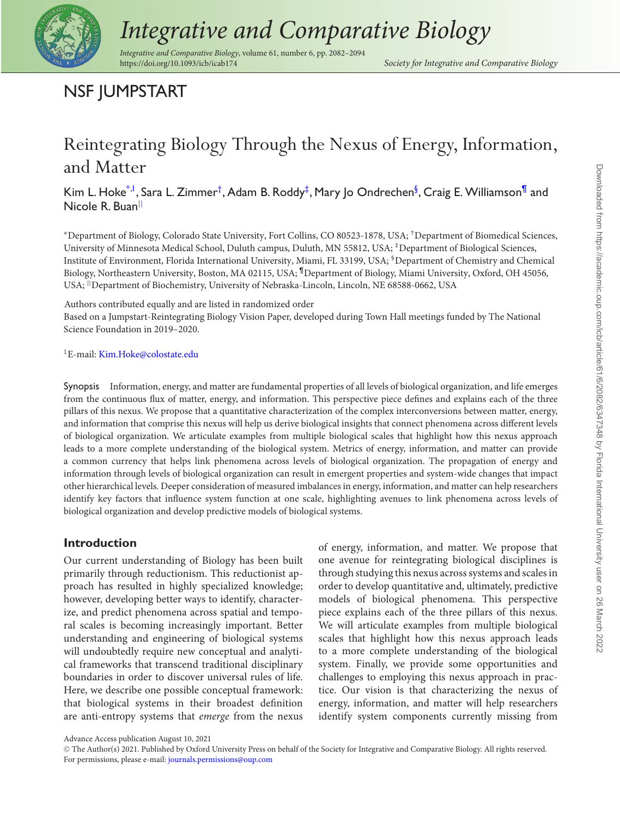

# *Integrative and Comparative Biology*

*Integrative and Comparative Biology*, volume 61, number 6, pp. 2082–2094

<span id="page-0-5"></span><span id="page-0-4"></span><span id="page-0-3"></span><span id="page-0-2"></span>Society for Integrative and Comparative Biology

# NSF JUMPSTART

# Reintegrating Biology Through the Nexus of Energy, Information, and Matter

Kim L. Hoke $^{\ast, \mathsf{l}}$ , Sara L. Zimmer $^\dagger$ , Adam B. Roddy $^\ddagger$ , Mary Jo Ondrechen $^\mathsf{\mathsf{\$}}$ , Craig E. Williamson $^\mathsf{fl}$  and Nicole R. Buan<sup>[||](#page-0-6)</sup>

<span id="page-0-0"></span><sup>∗</sup>Department of Biology, Colorado State University, Fort Collins, CO 80523-1878, USA; †Department of Biomedical Sciences, University of Minnesota Medical School, Duluth campus, Duluth, MN 55812, USA; ‡Department of Biological Sciences, Institute of Environment, Florida International University, Miami, FL 33199, USA; §Department of Chemistry and Chemical Biology, Northeastern University, Boston, MA 02115, USA; ¶Department of Biology, Miami University, Oxford, OH 45056, USA; ||Department of Biochemistry, University of Nebraska-Lincoln, Lincoln, NE 68588-0662, USA

<span id="page-0-6"></span>Authors contributed equally and are listed in randomized order

Based on a Jumpstart-Reintegrating Biology Vision Paper, developed during Town Hall meetings funded by The National Science Foundation in 2019–2020.

<span id="page-0-1"></span><sup>1</sup>E-mail: [Kim.Hoke@colostate.edu](mailto:Kim.Hoke@colostate.edu)

Synopsis Information, energy, and matter are fundamental properties of all levels of biological organization, and life emerges from the continuous flux of matter, energy, and information. This perspective piece defines and explains each of the three pillars of this nexus. We propose that a quantitative characterization of the complex interconversions between matter, energy, and information that comprise this nexus will help us derive biological insights that connect phenomena across different levels of biological organization. We articulate examples from multiple biological scales that highlight how this nexus approach leads to a more complete understanding of the biological system. Metrics of energy, information, and matter can provide a common currency that helps link phenomena across levels of biological organization. The propagation of energy and information through levels of biological organization can result in emergent properties and system-wide changes that impact other hierarchical levels. Deeper consideration of measured imbalances in energy, information, and matter can help researchers identify key factors that influence system function at one scale, highlighting avenues to link phenomena across levels of biological organization and develop predictive models of biological systems.

# **Introduction**

Our current understanding of Biology has been built primarily through reductionism. This reductionist approach has resulted in highly specialized knowledge; however, developing better ways to identify, characterize, and predict phenomena across spatial and temporal scales is becoming increasingly important. Better understanding and engineering of biological systems will undoubtedly require new conceptual and analytical frameworks that transcend traditional disciplinary boundaries in order to discover universal rules of life. Here, we describe one possible conceptual framework: that biological systems in their broadest definition are anti-entropy systems that *emerge* from the nexus of energy, information, and matter. We propose that one avenue for reintegrating biological disciplines is through studying this nexus across systems and scales in order to develop quantitative and, ultimately, predictive models of biological phenomena. This perspective piece explains each of the three pillars of this nexus. We will articulate examples from multiple biological scales that highlight how this nexus approach leads to a more complete understanding of the biological system. Finally, we provide some opportunities and challenges to employing this nexus approach in practice. Our vision is that characterizing the nexus of energy, information, and matter will help researchers identify system components currently missing from

Advance Access publication August 10, 2021

<sup>C</sup> The Author(s) 2021. Published by Oxford University Press on behalf of the Society for Integrative and Comparative Biology. All rights reserved. For permissions, please e-mail: [journals.permissions@oup.com](mailto:journals.permissions@oup.com)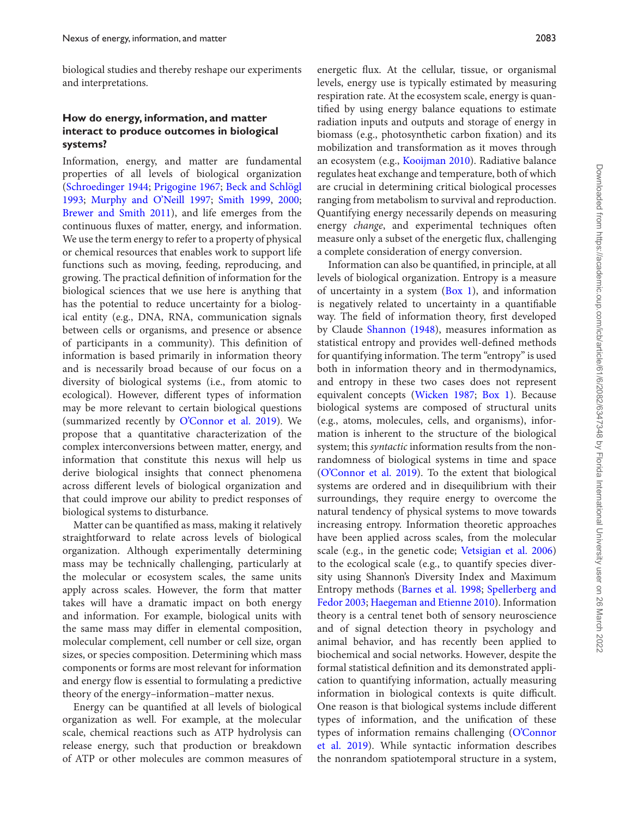biological studies and thereby reshape our experiments and interpretations.

### **How do energy, information, and matter interact to produce outcomes in biological systems?**

Information, energy, and matter are fundamental properties of all levels of biological organization [\(Schroedinger 1944;](#page-11-0) [Prigogine 1967;](#page-11-1) Beck and Schlögl 1993; [Murphy and O'Neill 1997;](#page-10-0) [Smith 1999,](#page-11-3) [2000;](#page-12-0) [Brewer and Smith 2011\)](#page-10-1), and life emerges from the continuous fluxes of matter, energy, and information. We use the term energy to refer to a property of physical or chemical resources that enables work to support life functions such as moving, feeding, reproducing, and growing. The practical definition of information for the biological sciences that we use here is anything that has the potential to reduce uncertainty for a biological entity (e.g., DNA, RNA, communication signals between cells or organisms, and presence or absence of participants in a community). This definition of information is based primarily in information theory and is necessarily broad because of our focus on a diversity of biological systems (i.e., from atomic to ecological). However, different types of information may be more relevant to certain biological questions (summarized recently by [O'Connor et al. 2019\)](#page-11-4). We propose that a quantitative characterization of the complex interconversions between matter, energy, and information that constitute this nexus will help us derive biological insights that connect phenomena across different levels of biological organization and that could improve our ability to predict responses of biological systems to disturbance.

Matter can be quantified as mass, making it relatively straightforward to relate across levels of biological organization. Although experimentally determining mass may be technically challenging, particularly at the molecular or ecosystem scales, the same units apply across scales. However, the form that matter takes will have a dramatic impact on both energy and information. For example, biological units with the same mass may differ in elemental composition, molecular complement, cell number or cell size, organ sizes, or species composition. Determining which mass components or forms are most relevant for information and energy flow is essential to formulating a predictive theory of the energy–information–matter nexus.

Energy can be quantified at all levels of biological organization as well. For example, at the molecular scale, chemical reactions such as ATP hydrolysis can release energy, such that production or breakdown of ATP or other molecules are common measures of energetic flux. At the cellular, tissue, or organismal levels, energy use is typically estimated by measuring respiration rate. At the ecosystem scale, energy is quantified by using energy balance equations to estimate radiation inputs and outputs and storage of energy in biomass (e.g., photosynthetic carbon fixation) and its mobilization and transformation as it moves through an ecosystem (e.g., [Kooijman 2010\)](#page-10-2). Radiative balance regulates heat exchange and temperature, both of which are crucial in determining critical biological processes ranging from metabolism to survival and reproduction. Quantifying energy necessarily depends on measuring energy *change*, and experimental techniques often measure only a subset of the energetic flux, challenging a complete consideration of energy conversion.

Information can also be quantified, in principle, at all levels of biological organization. Entropy is a measure of uncertainty in a system  $(Box 1)$ , and information is negatively related to uncertainty in a quantifiable way. The field of information theory, first developed by Claude [Shannon \(1948\)](#page-11-5), measures information as statistical entropy and provides well-defined methods for quantifying information. The term "entropy" is used both in information theory and in thermodynamics, and entropy in these two cases does not represent equivalent concepts [\(Wicken 1987;](#page-12-1) [Box 1\)](#page-2-0). Because biological systems are composed of structural units (e.g., atoms, molecules, cells, and organisms), information is inherent to the structure of the biological system; this *syntactic* information results from the nonrandomness of biological systems in time and space [\(O'Connor et al. 2019\)](#page-11-4). To the extent that biological systems are ordered and in disequilibrium with their surroundings, they require energy to overcome the natural tendency of physical systems to move towards increasing entropy. Information theoretic approaches have been applied across scales, from the molecular scale (e.g., in the genetic code; [Vetsigian et al. 2006\)](#page-12-2) to the ecological scale (e.g., to quantify species diversity using Shannon's Diversity Index and Maximum Entropy methods [\(Barnes et al. 1998;](#page-10-3) Spellerberg and Fedor 2003; [Haegeman and Etienne 2010\). Information](#page-12-3) theory is a central tenet both of sensory neuroscience and of signal detection theory in psychology and animal behavior, and has recently been applied to biochemical and social networks. However, despite the formal statistical definition and its demonstrated application to quantifying information, actually measuring information in biological contexts is quite difficult. One reason is that biological systems include different types of information, and the unification of these [types of information remains challenging \(O'Connor](#page-11-4) et al. 2019). While syntactic information describes the nonrandom spatiotemporal structure in a system,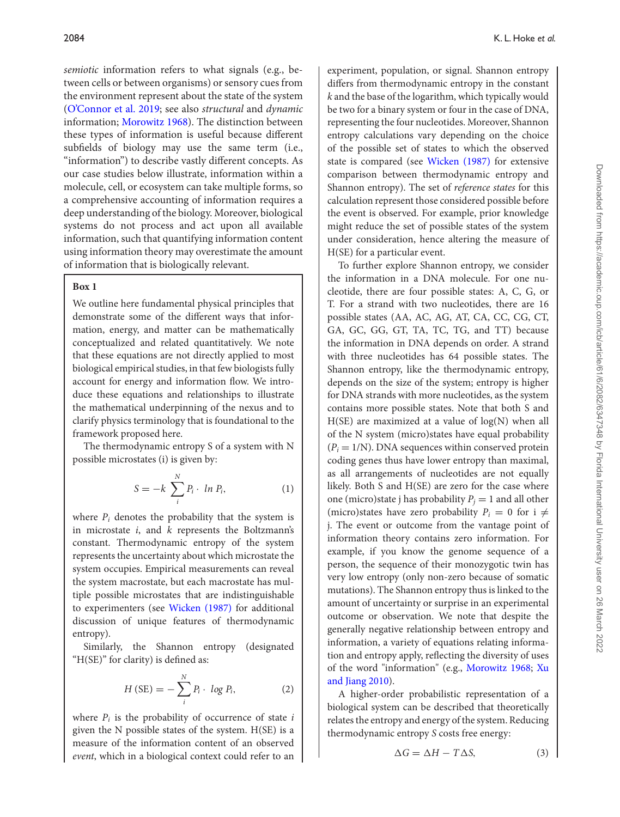*semiotic* information refers to what signals (e.g., between cells or between organisms) or sensory cues from the environment represent about the state of the system [\(O'Connor et al. 2019;](#page-11-4) see also *structural* and *dynamic* information; [Morowitz 1968\)](#page-11-6). The distinction between these types of information is useful because different subfields of biology may use the same term (i.e., "information") to describe vastly different concepts. As our case studies below illustrate, information within a molecule, cell, or ecosystem can take multiple forms, so a comprehensive accounting of information requires a deep understanding of the biology. Moreover, biological systems do not process and act upon all available information, such that quantifying information content using information theory may overestimate the amount of information that is biologically relevant.

#### <span id="page-2-0"></span>**Box 1**

We outline here fundamental physical principles that demonstrate some of the different ways that information, energy, and matter can be mathematically conceptualized and related quantitatively. We note that these equations are not directly applied to most biological empirical studies, in that few biologists fully account for energy and information flow. We introduce these equations and relationships to illustrate the mathematical underpinning of the nexus and to clarify physics terminology that is foundational to the framework proposed here.

The thermodynamic entropy S of a system with N possible microstates (i) is given by:

$$
S = -k \sum_{i}^{N} P_i \cdot \ln P_i, \qquad (1)
$$

where  $P_i$  denotes the probability that the system is in microstate *i*, and *k* represents the Boltzmann's constant. Thermodynamic entropy of the system represents the uncertainty about which microstate the system occupies. Empirical measurements can reveal the system macrostate, but each macrostate has multiple possible microstates that are indistinguishable to experimenters (see [Wicken \(1987\)](#page-12-1) for additional discussion of unique features of thermodynamic entropy).

Similarly, the Shannon entropy (designated "H(SE)" for clarity) is defined as:

$$
H(SE) = -\sum_{i}^{N} P_i \cdot \log P_i, \qquad (2)
$$

where  $P_i$  is the probability of occurrence of state  $i$ given the N possible states of the system. H(SE) is a measure of the information content of an observed *event*, which in a biological context could refer to an

experiment, population, or signal. Shannon entropy differs from thermodynamic entropy in the constant *k* and the base of the logarithm, which typically would be two for a binary system or four in the case of DNA, representing the four nucleotides. Moreover, Shannon entropy calculations vary depending on the choice of the possible set of states to which the observed state is compared (see [Wicken \(1987\)](#page-12-1) for extensive comparison between thermodynamic entropy and Shannon entropy). The set of *reference states* for this calculation represent those considered possible before the event is observed. For example, prior knowledge might reduce the set of possible states of the system under consideration, hence altering the measure of H(SE) for a particular event.

To further explore Shannon entropy, we consider the information in a DNA molecule. For one nucleotide, there are four possible states: A, C, G, or T. For a strand with two nucleotides, there are 16 possible states (AA, AC, AG, AT, CA, CC, CG, CT, GA, GC, GG, GT, TA, TC, TG, and TT) because the information in DNA depends on order. A strand with three nucleotides has 64 possible states. The Shannon entropy, like the thermodynamic entropy, depends on the size of the system; entropy is higher for DNA strands with more nucleotides, as the system contains more possible states. Note that both S and  $H(SE)$  are maximized at a value of  $log(N)$  when all of the N system (micro)states have equal probability  $(P<sub>i</sub> = 1/N)$ . DNA sequences within conserved protein coding genes thus have lower entropy than maximal, as all arrangements of nucleotides are not equally likely. Both S and H(SE) are zero for the case where one (micro)state j has probability  $P_i = 1$  and all other (micro)states have zero probability  $P_i = 0$  for i  $\neq$ j. The event or outcome from the vantage point of information theory contains zero information. For example, if you know the genome sequence of a person, the sequence of their monozygotic twin has very low entropy (only non-zero because of somatic mutations). The Shannon entropy thus is linked to the amount of uncertainty or surprise in an experimental outcome or observation. We note that despite the generally negative relationship between entropy and information, a variety of equations relating information and entropy apply, reflecting the diversity of uses [of the word "information" \(e.g.,](#page-10-5) [Morowitz 1968;](#page-11-6) Xu and Jiang 2010).

A higher-order probabilistic representation of a biological system can be described that theoretically relates the entropy and energy of the system. Reducing thermodynamic entropy *S* costs free energy:

$$
\Delta G = \Delta H - T \Delta S, \tag{3}
$$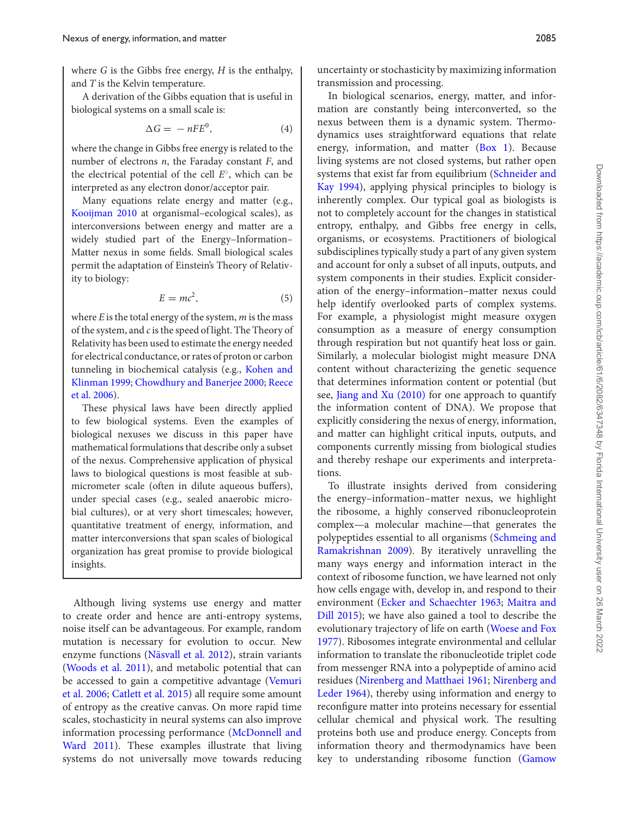where *G* is the Gibbs free energy, *H* is the enthalpy, and *T* is the Kelvin temperature.

A derivation of the Gibbs equation that is useful in biological systems on a small scale is:

$$
\Delta G = -nFE^0,\tag{4}
$$

where the change in Gibbs free energy is related to the number of electrons *n*, the Faraday constant *F*, and the electrical potential of the cell *E*◦, which can be interpreted as any electron donor/acceptor pair.

Many equations relate energy and matter (e.g., [Kooijman 2010](#page-10-2) at organismal–ecological scales), as interconversions between energy and matter are a widely studied part of the Energy–Information– Matter nexus in some fields. Small biological scales permit the adaptation of Einstein's Theory of Relativity to biology:

$$
E = mc^2,\t\t(5)
$$

where *E* is the total energy of the system, *m* is the mass of the system, and *c*is the speed of light. The Theory of Relativity has been used to estimate the energy needed for electrical conductance, or rates of proton or carbon [tunneling in biochemical catalysis \(e.g.,](#page-10-6) Kohen and Klinman 1999; [Chowdhury and Banerjee 2000](#page-10-7)[;](#page-11-7) Reece et al. 2006).

These physical laws have been directly applied to few biological systems. Even the examples of biological nexuses we discuss in this paper have mathematical formulations that describe only a subset of the nexus. Comprehensive application of physical laws to biological questions is most feasible at submicrometer scale (often in dilute aqueous buffers), under special cases (e.g., sealed anaerobic microbial cultures), or at very short timescales; however, quantitative treatment of energy, information, and matter interconversions that span scales of biological organization has great promise to provide biological insights.

Although living systems use energy and matter to create order and hence are anti-entropy systems, noise itself can be advantageous. For example, random mutation is necessary for evolution to occur. New enzyme functions [\(Näsvall et al. 2012\)](#page-11-8), strain variants [\(Woods et al. 2011\)](#page-12-4), and metabolic potential that can [be accessed to gain a competitive advantage \(Vemuri](#page-12-5) et al. 2006; [Catlett et al. 2015\)](#page-10-8) all require some amount of entropy as the creative canvas. On more rapid time scales, stochasticity in neural systems can also improve information processing performance (McDonnell and [Ward 2011\). These examples illustrate that living](#page-11-9) systems do not universally move towards reducing

uncertainty or stochasticity by maximizing information transmission and processing.

In biological scenarios, energy, matter, and information are constantly being interconverted, so the nexus between them is a dynamic system. Thermodynamics uses straightforward equations that relate energy, information, and matter [\(Box 1\)](#page-2-0). Because living systems are not closed systems, but rather open systems that exist far from equilibrium (Schneider and [Kay 1994\), applying physical principles to biology is](#page-11-10) inherently complex. Our typical goal as biologists is not to completely account for the changes in statistical entropy, enthalpy, and Gibbs free energy in cells, organisms, or ecosystems. Practitioners of biological subdisciplines typically study a part of any given system and account for only a subset of all inputs, outputs, and system components in their studies. Explicit consideration of the energy–information–matter nexus could help identify overlooked parts of complex systems. For example, a physiologist might measure oxygen consumption as a measure of energy consumption through respiration but not quantify heat loss or gain. Similarly, a molecular biologist might measure DNA content without characterizing the genetic sequence that determines information content or potential (but see, [Jiang and Xu \(2010\)](#page-10-5) for one approach to quantify the information content of DNA). We propose that explicitly considering the nexus of energy, information, and matter can highlight critical inputs, outputs, and components currently missing from biological studies and thereby reshape our experiments and interpretations.

To illustrate insights derived from considering the energy–information–matter nexus, we highlight the ribosome, a highly conserved ribonucleoprotein complex—a molecular machine—that generates the [polypeptides essential to all organisms \(Schmeing and](#page-11-11) Ramakrishnan 2009). By iteratively unravelling the many ways energy and information interact in the context of ribosome function, we have learned not only how cells engage with, develop in, and respond to their environment [\(Ecker and Schaechter 1963;](#page-10-9) Maitra and [Dill 2015\); we have also gained a tool to describe the](#page-11-12) [evolutionary trajectory of life on earth \(Woese and Fox](#page-12-6) 1977). Ribosomes integrate environmental and cellular information to translate the ribonucleotide triplet code from messenger RNA into a polypeptide of amino acid residues [\(Nirenberg and Matthaei 1961;](#page-11-13) Nirenberg and [Leder 1964\), thereby using information and energy to](#page-11-14) reconfigure matter into proteins necessary for essential cellular chemical and physical work. The resulting proteins both use and produce energy. Concepts from information theory and thermodynamics have been key to understanding ribosome function [\(Gamow](#page-10-10)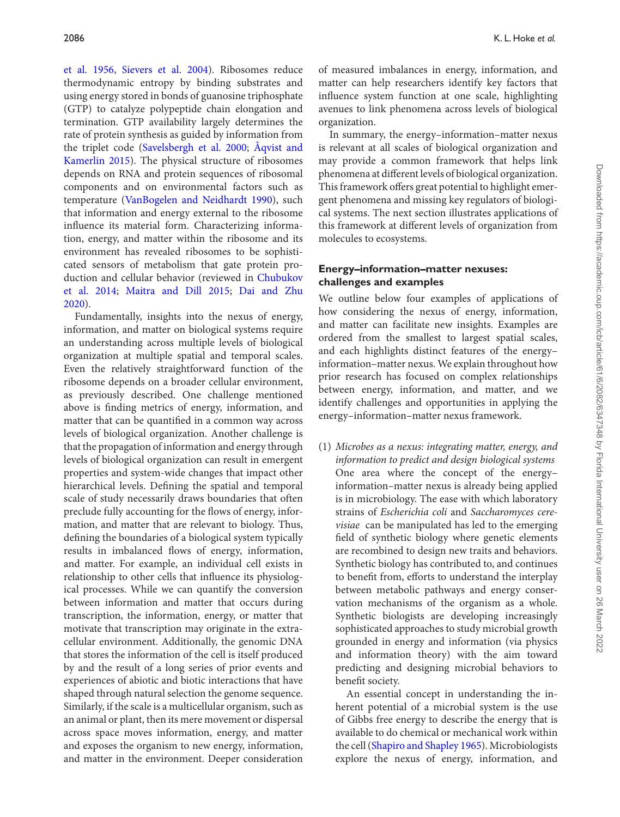[et al. 1956,](#page-10-10) [Sievers et al. 2004\)](#page-11-15). Ribosomes reduce thermodynamic entropy by binding substrates and using energy stored in bonds of guanosine triphosphate (GTP) to catalyze polypeptide chain elongation and termination. GTP availability largely determines the rate of protein synthesis as guided by information from the triplet code [\(Savelsbergh et al. 2000;](#page-11-16) Aqvist and [Kamerlin 2015\). The physical structure of ribosomes](#page-10-11) depends on RNA and protein sequences of ribosomal components and on environmental factors such as temperature [\(VanBogelen and Neidhardt 1990\)](#page-12-7), such that information and energy external to the ribosome influence its material form. Characterizing information, energy, and matter within the ribosome and its environment has revealed ribosomes to be sophisticated sensors of metabolism that gate protein pro[duction and cellular behavior \(reviewed in](#page-10-12) Chubukov et al. 2014; [Maitra and Dill 2015](#page-11-12)[;](#page-10-13) Dai and Zhu 2020).

Fundamentally, insights into the nexus of energy, information, and matter on biological systems require an understanding across multiple levels of biological organization at multiple spatial and temporal scales. Even the relatively straightforward function of the ribosome depends on a broader cellular environment, as previously described. One challenge mentioned above is finding metrics of energy, information, and matter that can be quantified in a common way across levels of biological organization. Another challenge is that the propagation of information and energy through levels of biological organization can result in emergent properties and system-wide changes that impact other hierarchical levels. Defining the spatial and temporal scale of study necessarily draws boundaries that often preclude fully accounting for the flows of energy, information, and matter that are relevant to biology. Thus, defining the boundaries of a biological system typically results in imbalanced flows of energy, information, and matter. For example, an individual cell exists in relationship to other cells that influence its physiological processes. While we can quantify the conversion between information and matter that occurs during transcription, the information, energy, or matter that motivate that transcription may originate in the extracellular environment. Additionally, the genomic DNA that stores the information of the cell is itself produced by and the result of a long series of prior events and experiences of abiotic and biotic interactions that have shaped through natural selection the genome sequence. Similarly, if the scale is a multicellular organism, such as an animal or plant, then its mere movement or dispersal across space moves information, energy, and matter and exposes the organism to new energy, information, and matter in the environment. Deeper consideration of measured imbalances in energy, information, and matter can help researchers identify key factors that influence system function at one scale, highlighting avenues to link phenomena across levels of biological organization.

In summary, the energy–information–matter nexus is relevant at all scales of biological organization and may provide a common framework that helps link phenomena at different levels of biological organization. This framework offers great potential to highlight emergent phenomena and missing key regulators of biological systems. The next section illustrates applications of this framework at different levels of organization from molecules to ecosystems.

# **Energy–information–matter nexuses: challenges and examples**

We outline below four examples of applications of how considering the nexus of energy, information, and matter can facilitate new insights. Examples are ordered from the smallest to largest spatial scales, and each highlights distinct features of the energy– information–matter nexus. We explain throughout how prior research has focused on complex relationships between energy, information, and matter, and we identify challenges and opportunities in applying the energy–information–matter nexus framework.

(1) *Microbes as a nexus: integrating matter, energy, and information to predict and design biological systems* One area where the concept of the energy– information–matter nexus is already being applied is in microbiology. The ease with which laboratory strains of *Escherichia coli* and *Saccharomyces cerevisiae* can be manipulated has led to the emerging field of synthetic biology where genetic elements are recombined to design new traits and behaviors. Synthetic biology has contributed to, and continues to benefit from, efforts to understand the interplay between metabolic pathways and energy conservation mechanisms of the organism as a whole. Synthetic biologists are developing increasingly sophisticated approaches to study microbial growth grounded in energy and information (via physics and information theory) with the aim toward predicting and designing microbial behaviors to benefit society.

An essential concept in understanding the inherent potential of a microbial system is the use of Gibbs free energy to describe the energy that is available to do chemical or mechanical work within the cell [\(Shapiro and Shapley 1965\)](#page-11-17). Microbiologists explore the nexus of energy, information, and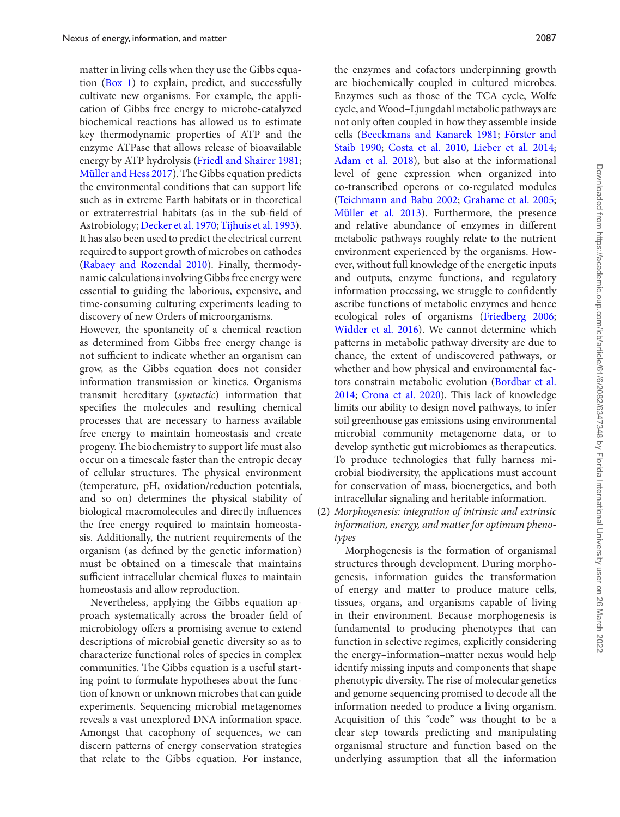matter in living cells when they use the Gibbs equation [\(Box 1\)](#page-2-0) to explain, predict, and successfully cultivate new organisms. For example, the application of Gibbs free energy to microbe-catalyzed biochemical reactions has allowed us to estimate key thermodynamic properties of ATP and the enzyme ATPase that allows release of bioavailable energy by ATP hydrolysis [\(Friedl and Shairer 1981;](#page-10-14) [Müller and Hess 2017\)](#page-11-18). The Gibbs equation predicts the environmental conditions that can support life such as in extreme Earth habitats or in theoretical or extraterrestrial habitats (as in the sub-field of Astrobiology; [Decker et al. 1970;](#page-10-15) [Tijhuis et al. 1993\)](#page-12-8). It has also been used to predict the electrical current required to support growth of microbes on cathodes [\(Rabaey and Rozendal 2010\)](#page-11-19). Finally, thermodynamic calculations involving Gibbs free energy were essential to guiding the laborious, expensive, and time-consuming culturing experiments leading to discovery of new Orders of microorganisms.

However, the spontaneity of a chemical reaction as determined from Gibbs free energy change is not sufficient to indicate whether an organism can grow, as the Gibbs equation does not consider information transmission or kinetics. Organisms transmit hereditary (*syntactic*) information that specifies the molecules and resulting chemical processes that are necessary to harness available free energy to maintain homeostasis and create progeny. The biochemistry to support life must also occur on a timescale faster than the entropic decay of cellular structures. The physical environment (temperature, pH, oxidation/reduction potentials, and so on) determines the physical stability of biological macromolecules and directly influences the free energy required to maintain homeostasis. Additionally, the nutrient requirements of the organism (as defined by the genetic information) must be obtained on a timescale that maintains sufficient intracellular chemical fluxes to maintain homeostasis and allow reproduction.

Nevertheless, applying the Gibbs equation approach systematically across the broader field of microbiology offers a promising avenue to extend descriptions of microbial genetic diversity so as to characterize functional roles of species in complex communities. The Gibbs equation is a useful starting point to formulate hypotheses about the function of known or unknown microbes that can guide experiments. Sequencing microbial metagenomes reveals a vast unexplored DNA information space. Amongst that cacophony of sequences, we can discern patterns of energy conservation strategies that relate to the Gibbs equation. For instance,

the enzymes and cofactors underpinning growth are biochemically coupled in cultured microbes. Enzymes such as those of the TCA cycle, Wolfe cycle, andWood–Ljungdahl metabolic pathways are not only often coupled in how they assemble inside [cells \(](#page-10-17)[Beeckmans and Kanarek 1981](#page-10-16)[;](#page-10-17) Förster and Staib 1990; [Costa et al. 2010,](#page-10-18) [Lieber et al. 2014;](#page-10-19) [Adam et al. 2018\)](#page-10-20), but also at the informational level of gene expression when organized into co-transcribed operons or co-regulated modules [\(Teichmann and Babu 2002;](#page-12-9) [Grahame et al. 2005;](#page-10-21) [Müller et al. 2013\)](#page-11-20). Furthermore, the presence and relative abundance of enzymes in different metabolic pathways roughly relate to the nutrient environment experienced by the organisms. However, without full knowledge of the energetic inputs and outputs, enzyme functions, and regulatory information processing, we struggle to confidently ascribe functions of metabolic enzymes and hence ecological roles of organisms [\(Friedberg 2006;](#page-10-22) [Widder et al. 2016\)](#page-12-10). We cannot determine which patterns in metabolic pathway diversity are due to chance, the extent of undiscovered pathways, or whether and how physical and environmental fac[tors constrain metabolic evolution \(Bordbar et al.](#page-10-23) 2014; [Crona et al. 2020\)](#page-10-24). This lack of knowledge limits our ability to design novel pathways, to infer soil greenhouse gas emissions using environmental microbial community metagenome data, or to develop synthetic gut microbiomes as therapeutics. To produce technologies that fully harness microbial biodiversity, the applications must account for conservation of mass, bioenergetics, and both intracellular signaling and heritable information.

(2) *Morphogenesis: integration of intrinsic and extrinsic information, energy, and matter for optimum phenotypes*

Morphogenesis is the formation of organismal structures through development. During morphogenesis, information guides the transformation of energy and matter to produce mature cells, tissues, organs, and organisms capable of living in their environment. Because morphogenesis is fundamental to producing phenotypes that can function in selective regimes, explicitly considering the energy–information–matter nexus would help identify missing inputs and components that shape phenotypic diversity. The rise of molecular genetics and genome sequencing promised to decode all the information needed to produce a living organism. Acquisition of this "code" was thought to be a clear step towards predicting and manipulating organismal structure and function based on the underlying assumption that all the information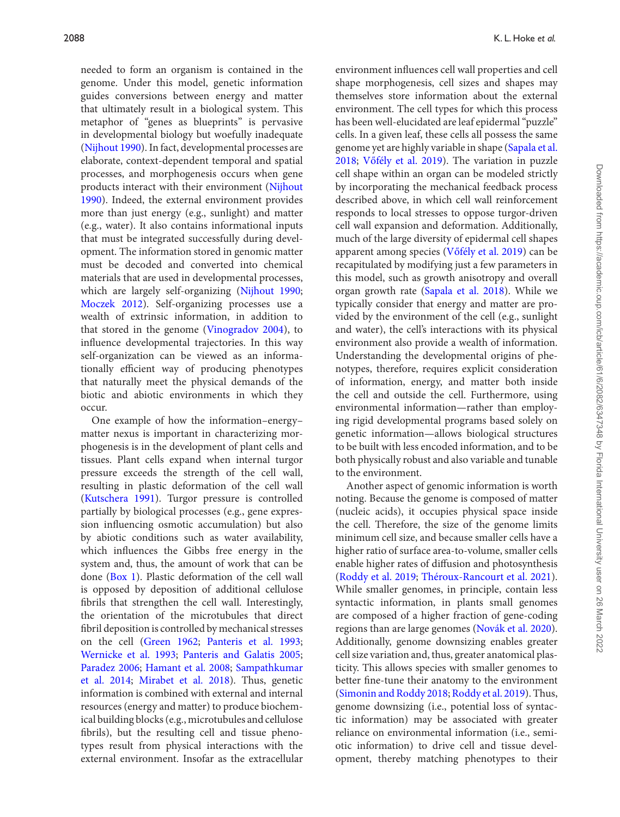needed to form an organism is contained in the genome. Under this model, genetic information guides conversions between energy and matter that ultimately result in a biological system. This metaphor of "genes as blueprints" is pervasive in developmental biology but woefully inadequate [\(Nijhout 1990\)](#page-11-21). In fact, developmental processes are elaborate, context-dependent temporal and spatial processes, and morphogenesis occurs when gene [products interact with their environment \(Nijhout](#page-11-21) 1990). Indeed, the external environment provides more than just energy (e.g., sunlight) and matter (e.g., water). It also contains informational inputs that must be integrated successfully during development. The information stored in genomic matter must be decoded and converted into chemical materials that are used in developmental processes, which are largely self-organizing [\(Nijhout 1990;](#page-11-21) [Moczek 2012\)](#page-11-22). Self-organizing processes use a wealth of extrinsic information, in addition to that stored in the genome [\(Vinogradov 2004\)](#page-12-11), to influence developmental trajectories. In this way self-organization can be viewed as an informationally efficient way of producing phenotypes that naturally meet the physical demands of the biotic and abiotic environments in which they occur.

One example of how the information–energy– matter nexus is important in characterizing morphogenesis is in the development of plant cells and tissues. Plant cells expand when internal turgor pressure exceeds the strength of the cell wall, resulting in plastic deformation of the cell wall [\(Kutschera 1991\)](#page-10-25). Turgor pressure is controlled partially by biological processes (e.g., gene expression influencing osmotic accumulation) but also by abiotic conditions such as water availability, which influences the Gibbs free energy in the system and, thus, the amount of work that can be done [\(Box 1\)](#page-2-0). Plastic deformation of the cell wall is opposed by deposition of additional cellulose fibrils that strengthen the cell wall. Interestingly, the orientation of the microtubules that direct fibril deposition is controlled by mechanical stresses on the cell [\(Green 1962;](#page-10-26) [Panteris et al. 1993;](#page-11-23) [Wernicke et al. 1993;](#page-12-12) [Panteris and Galatis 2005;](#page-11-24) [Paradez 2006;](#page-11-25) [Hamant et al. 2008;](#page-10-27) Sampathkumar et al. 2014; [Mirabet et al. 2018\). Thus, genetic](#page-11-26) information is combined with external and internal resources (energy and matter) to produce biochemical building blocks (e.g., microtubules and cellulose fibrils), but the resulting cell and tissue phenotypes result from physical interactions with the external environment. Insofar as the extracellular environment influences cell wall properties and cell shape morphogenesis, cell sizes and shapes may themselves store information about the external environment. The cell types for which this process has been well-elucidated are leaf epidermal "puzzle" cells. In a given leaf, these cells all possess the same [genome yet are highly variable in shape \(Sapala et al.](#page-11-28) 2018; Vőfély et al. 2019). The variation in puzzle cell shape within an organ can be modeled strictly by incorporating the mechanical feedback process described above, in which cell wall reinforcement responds to local stresses to oppose turgor-driven cell wall expansion and deformation. Additionally, much of the large diversity of epidermal cell shapes apparent among species (Vőfély et al. 2019) can be recapitulated by modifying just a few parameters in this model, such as growth anisotropy and overall organ growth rate [\(Sapala et al. 2018\)](#page-11-28). While we typically consider that energy and matter are provided by the environment of the cell (e.g., sunlight and water), the cell's interactions with its physical environment also provide a wealth of information. Understanding the developmental origins of phenotypes, therefore, requires explicit consideration of information, energy, and matter both inside the cell and outside the cell. Furthermore, using environmental information—rather than employing rigid developmental programs based solely on genetic information—allows biological structures to be built with less encoded information, and to be both physically robust and also variable and tunable to the environment.

Another aspect of genomic information is worth noting. Because the genome is composed of matter (nucleic acids), it occupies physical space inside the cell. Therefore, the size of the genome limits minimum cell size, and because smaller cells have a higher ratio of surface area-to-volume, smaller cells enable higher rates of diffusion and photosynthesis [\(Roddy et al. 2019;](#page-11-29) [Théroux-Rancourt et al. 2021\)](#page-12-14). While smaller genomes, in principle, contain less syntactic information, in plants small genomes are composed of a higher fraction of gene-coding regions than are large genomes [\(Novák et al. 2020\)](#page-11-30). Additionally, genome downsizing enables greater cell size variation and, thus, greater anatomical plasticity. This allows species with smaller genomes to better fine-tune their anatomy to the environment [\(Simonin and Roddy 2018;](#page-11-31) [Roddy et al. 2019\)](#page-11-29). Thus, genome downsizing (i.e., potential loss of syntactic information) may be associated with greater reliance on environmental information (i.e., semiotic information) to drive cell and tissue development, thereby matching phenotypes to their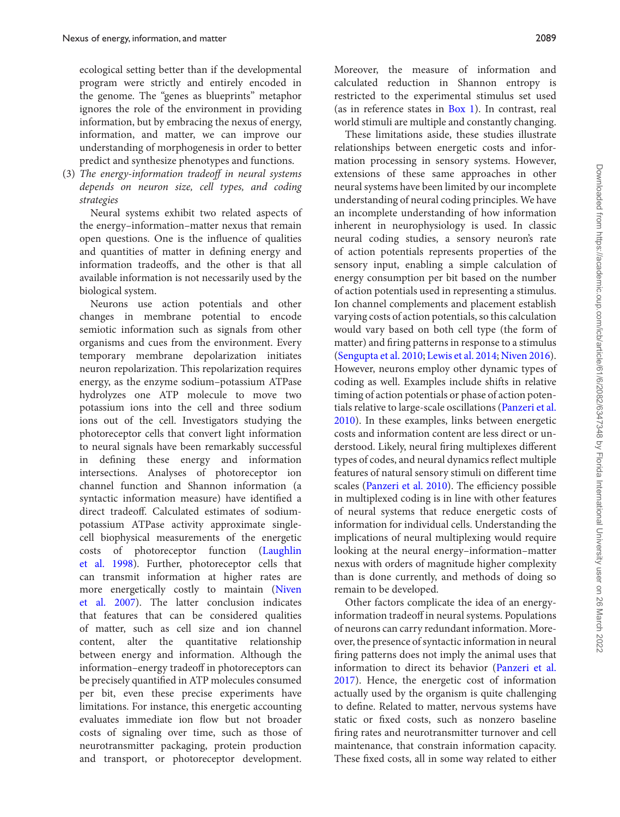ecological setting better than if the developmental program were strictly and entirely encoded in the genome. The "genes as blueprints" metaphor ignores the role of the environment in providing information, but by embracing the nexus of energy, information, and matter, we can improve our understanding of morphogenesis in order to better predict and synthesize phenotypes and functions.

(3) *The energy-information tradeoff in neural systems depends on neuron size, cell types, and coding strategies*

Neural systems exhibit two related aspects of the energy–information–matter nexus that remain open questions. One is the influence of qualities and quantities of matter in defining energy and information tradeoffs, and the other is that all available information is not necessarily used by the biological system.

Neurons use action potentials and other changes in membrane potential to encode semiotic information such as signals from other organisms and cues from the environment. Every temporary membrane depolarization initiates neuron repolarization. This repolarization requires energy, as the enzyme sodium–potassium ATPase hydrolyzes one ATP molecule to move two potassium ions into the cell and three sodium ions out of the cell. Investigators studying the photoreceptor cells that convert light information to neural signals have been remarkably successful in defining these energy and information intersections. Analyses of photoreceptor ion channel function and Shannon information (a syntactic information measure) have identified a direct tradeoff. Calculated estimates of sodiumpotassium ATPase activity approximate singlecell biophysical measurements of the energetic costs of photoreceptor function (Laughlin [et al. 1998\). Further, photoreceptor cells that](#page-10-28) can transmit information at higher rates are more energetically costly to maintain (Niven [et al. 2007\). The latter conclusion indicates](#page-11-32) that features that can be considered qualities of matter, such as cell size and ion channel content, alter the quantitative relationship between energy and information. Although the information–energy tradeoff in photoreceptors can be precisely quantified in ATP molecules consumed per bit, even these precise experiments have limitations. For instance, this energetic accounting evaluates immediate ion flow but not broader costs of signaling over time, such as those of neurotransmitter packaging, protein production and transport, or photoreceptor development.

Moreover, the measure of information and calculated reduction in Shannon entropy is restricted to the experimental stimulus set used (as in reference states in [Box 1\)](#page-2-0). In contrast, real world stimuli are multiple and constantly changing.

These limitations aside, these studies illustrate relationships between energetic costs and information processing in sensory systems. However, extensions of these same approaches in other neural systems have been limited by our incomplete understanding of neural coding principles. We have an incomplete understanding of how information inherent in neurophysiology is used. In classic neural coding studies, a sensory neuron's rate of action potentials represents properties of the sensory input, enabling a simple calculation of energy consumption per bit based on the number of action potentials used in representing a stimulus. Ion channel complements and placement establish varying costs of action potentials, so this calculation would vary based on both cell type (the form of matter) and firing patterns in response to a stimulus [\(Sengupta et al. 2010;](#page-11-33) [Lewis et al. 2014;](#page-10-29) [Niven 2016\)](#page-11-34). However, neurons employ other dynamic types of coding as well. Examples include shifts in relative timing of action potentials or phase of action potentials relative to large-scale oscillations (Panzeri et al. [2010\). In these examples, links between energetic](#page-11-35) costs and information content are less direct or understood. Likely, neural firing multiplexes different types of codes, and neural dynamics reflect multiple features of natural sensory stimuli on different time scales [\(Panzeri et al. 2010\)](#page-11-35). The efficiency possible in multiplexed coding is in line with other features of neural systems that reduce energetic costs of information for individual cells. Understanding the implications of neural multiplexing would require looking at the neural energy–information–matter nexus with orders of magnitude higher complexity than is done currently, and methods of doing so remain to be developed.

Other factors complicate the idea of an energyinformation tradeoff in neural systems. Populations of neurons can carry redundant information. Moreover, the presence of syntactic information in neural firing patterns does not imply the animal uses that information to direct its behavior (Panzeri et al. [2017\). Hence, the energetic cost of information](#page-11-36) actually used by the organism is quite challenging to define. Related to matter, nervous systems have static or fixed costs, such as nonzero baseline firing rates and neurotransmitter turnover and cell maintenance, that constrain information capacity. These fixed costs, all in some way related to either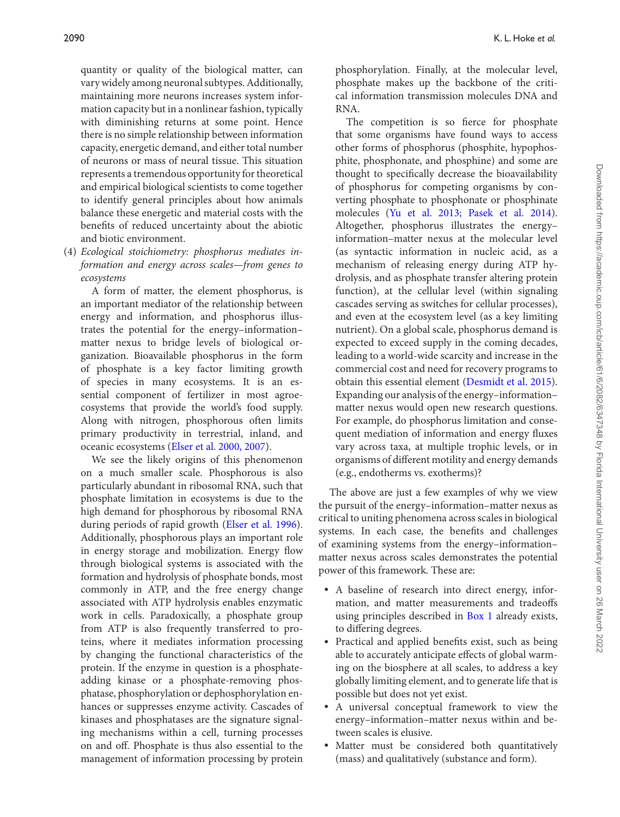quantity or quality of the biological matter, can vary widely among neuronal subtypes. Additionally, maintaining more neurons increases system information capacity but in a nonlinear fashion, typically with diminishing returns at some point. Hence there is no simple relationship between information capacity, energetic demand, and either total number of neurons or mass of neural tissue. This situation represents a tremendous opportunity for theoretical and empirical biological scientists to come together to identify general principles about how animals balance these energetic and material costs with the benefits of reduced uncertainty about the abiotic and biotic environment.

(4) *Ecological stoichiometry: phosphorus mediates information and energy across scales—from genes to ecosystems*

A form of matter, the element phosphorus, is an important mediator of the relationship between energy and information, and phosphorus illustrates the potential for the energy–information– matter nexus to bridge levels of biological organization. Bioavailable phosphorus in the form of phosphate is a key factor limiting growth of species in many ecosystems. It is an essential component of fertilizer in most agroecosystems that provide the world's food supply. Along with nitrogen, phosphorous often limits primary productivity in terrestrial, inland, and oceanic ecosystems [\(Elser et al. 2000,](#page-10-30) [2007\)](#page-10-31).

We see the likely origins of this phenomenon on a much smaller scale. Phosphorous is also particularly abundant in ribosomal RNA, such that phosphate limitation in ecosystems is due to the high demand for phosphorous by ribosomal RNA during periods of rapid growth [\(Elser et al. 1996\)](#page-10-32). Additionally, phosphorous plays an important role in energy storage and mobilization. Energy flow through biological systems is associated with the formation and hydrolysis of phosphate bonds, most commonly in ATP, and the free energy change associated with ATP hydrolysis enables enzymatic work in cells. Paradoxically, a phosphate group from ATP is also frequently transferred to proteins, where it mediates information processing by changing the functional characteristics of the protein. If the enzyme in question is a phosphateadding kinase or a phosphate-removing phosphatase, phosphorylation or dephosphorylation enhances or suppresses enzyme activity. Cascades of kinases and phosphatases are the signature signaling mechanisms within a cell, turning processes on and off. Phosphate is thus also essential to the management of information processing by protein

phosphorylation. Finally, at the molecular level, phosphate makes up the backbone of the critical information transmission molecules DNA and RNA.

The competition is so fierce for phosphate that some organisms have found ways to access other forms of phosphorus (phosphite, hypophosphite, phosphonate, and phosphine) and some are thought to specifically decrease the bioavailability of phosphorus for competing organisms by converting phosphate to phosphonate or phosphinate molecules [\(Yu et al. 2013;](#page-12-15) [Pasek et al. 2014\)](#page-11-37). Altogether, phosphorus illustrates the energy– information–matter nexus at the molecular level (as syntactic information in nucleic acid, as a mechanism of releasing energy during ATP hydrolysis, and as phosphate transfer altering protein function), at the cellular level (within signaling cascades serving as switches for cellular processes), and even at the ecosystem level (as a key limiting nutrient). On a global scale, phosphorus demand is expected to exceed supply in the coming decades, leading to a world-wide scarcity and increase in the commercial cost and need for recovery programs to obtain this essential element [\(Desmidt et al. 2015\)](#page-10-33). Expanding our analysis of the energy–information– matter nexus would open new research questions. For example, do phosphorus limitation and consequent mediation of information and energy fluxes vary across taxa, at multiple trophic levels, or in organisms of different motility and energy demands (e.g., endotherms vs. exotherms)?

The above are just a few examples of why we view the pursuit of the energy–information–matter nexus as critical to uniting phenomena across scales in biological systems. In each case, the benefits and challenges of examining systems from the energy–information– matter nexus across scales demonstrates the potential power of this framework. These are:

- A baseline of research into direct energy, information, and matter measurements and tradeoffs using principles described in [Box 1](#page-2-0) already exists, to differing degrees.
- Practical and applied benefits exist, such as being able to accurately anticipate effects of global warming on the biosphere at all scales, to address a key globally limiting element, and to generate life that is possible but does not yet exist.
- A universal conceptual framework to view the energy–information–matter nexus within and between scales is elusive.
- - Matter must be considered both quantitatively (mass) and qualitatively (substance and form).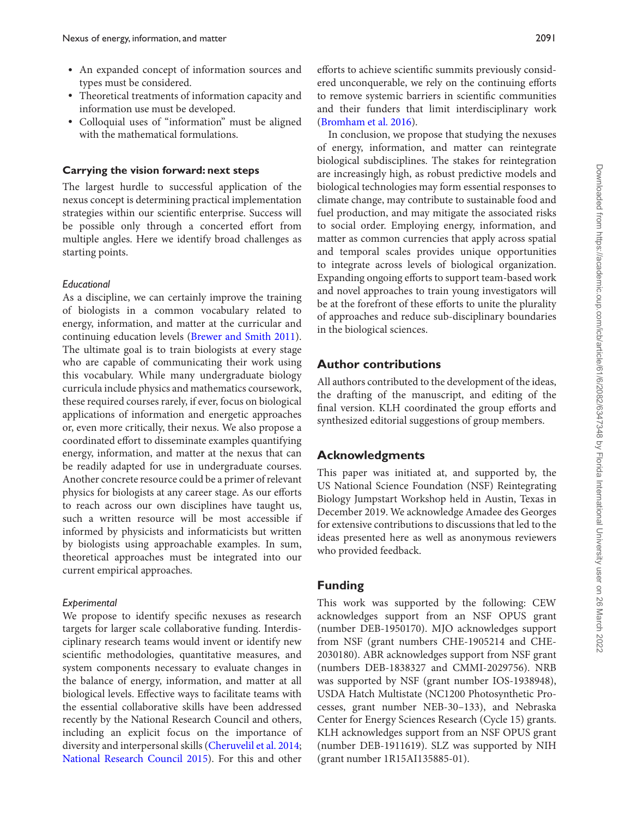- An expanded concept of information sources and types must be considered.
- Theoretical treatments of information capacity and information use must be developed.
- Colloquial uses of "information" must be aligned with the mathematical formulations.

#### **Carrying the vision forward: next steps**

The largest hurdle to successful application of the nexus concept is determining practical implementation strategies within our scientific enterprise. Success will be possible only through a concerted effort from multiple angles. Here we identify broad challenges as starting points.

#### *Educational*

As a discipline, we can certainly improve the training of biologists in a common vocabulary related to energy, information, and matter at the curricular and continuing education levels [\(Brewer and Smith 2011\)](#page-10-1). The ultimate goal is to train biologists at every stage who are capable of communicating their work using this vocabulary. While many undergraduate biology curricula include physics and mathematics coursework, these required courses rarely, if ever, focus on biological applications of information and energetic approaches or, even more critically, their nexus. We also propose a coordinated effort to disseminate examples quantifying energy, information, and matter at the nexus that can be readily adapted for use in undergraduate courses. Another concrete resource could be a primer of relevant physics for biologists at any career stage. As our efforts to reach across our own disciplines have taught us, such a written resource will be most accessible if informed by physicists and informaticists but written by biologists using approachable examples. In sum, theoretical approaches must be integrated into our current empirical approaches.

#### *Experimental*

We propose to identify specific nexuses as research targets for larger scale collaborative funding. Interdisciplinary research teams would invent or identify new scientific methodologies, quantitative measures, and system components necessary to evaluate changes in the balance of energy, information, and matter at all biological levels. Effective ways to facilitate teams with the essential collaborative skills have been addressed recently by the National Research Council and others, including an explicit focus on the importance of diversity and interpersonal skills [\(Cheruvelil et al. 2014;](#page-10-34) [National Research Council 2015\)](#page-11-38). For this and other

efforts to achieve scientific summits previously considered unconquerable, we rely on the continuing efforts to remove systemic barriers in scientific communities and their funders that limit interdisciplinary work [\(Bromham et al. 2016\)](#page-10-35).

In conclusion, we propose that studying the nexuses of energy, information, and matter can reintegrate biological subdisciplines. The stakes for reintegration are increasingly high, as robust predictive models and biological technologies may form essential responses to climate change, may contribute to sustainable food and fuel production, and may mitigate the associated risks to social order. Employing energy, information, and matter as common currencies that apply across spatial and temporal scales provides unique opportunities to integrate across levels of biological organization. Expanding ongoing efforts to support team-based work and novel approaches to train young investigators will be at the forefront of these efforts to unite the plurality of approaches and reduce sub-disciplinary boundaries in the biological sciences.

### **Author contributions**

All authors contributed to the development of the ideas, the drafting of the manuscript, and editing of the final version. KLH coordinated the group efforts and synthesized editorial suggestions of group members.

## **Acknowledgments**

This paper was initiated at, and supported by, the US National Science Foundation (NSF) Reintegrating Biology Jumpstart Workshop held in Austin, Texas in December 2019. We acknowledge Amadee des Georges for extensive contributions to discussions that led to the ideas presented here as well as anonymous reviewers who provided feedback.

# **Funding**

This work was supported by the following: CEW acknowledges support from an NSF OPUS grant (number DEB-1950170). MJO acknowledges support from NSF (grant numbers CHE-1905214 and CHE-2030180). ABR acknowledges support from NSF grant (numbers DEB-1838327 and CMMI-2029756). NRB was supported by NSF (grant number IOS-1938948), USDA Hatch Multistate (NC1200 Photosynthetic Processes, grant number NEB-30–133), and Nebraska Center for Energy Sciences Research (Cycle 15) grants. KLH acknowledges support from an NSF OPUS grant (number DEB-1911619). SLZ was supported by NIH (grant number 1R15AI135885-01).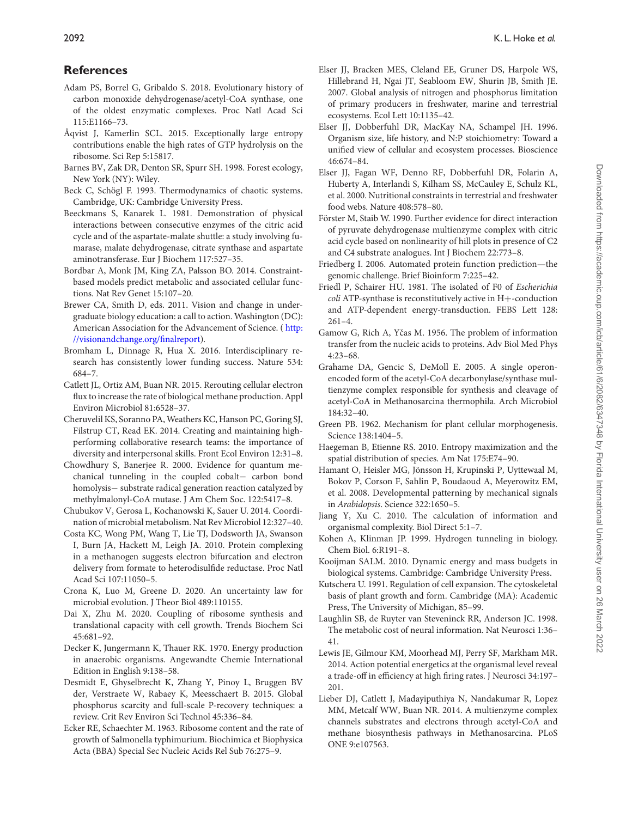# **References**

- <span id="page-10-20"></span>Adam PS, Borrel G, Gribaldo S. 2018. Evolutionary history of carbon monoxide dehydrogenase/acetyl-CoA synthase, one of the oldest enzymatic complexes. Proc Natl Acad Sci 115:E1166–73.
- <span id="page-10-11"></span>Aqvist J, Kamerlin SCL. 2015. Exceptionally large entropy contributions enable the high rates of GTP hydrolysis on the ribosome. Sci Rep 5:15817.
- <span id="page-10-3"></span>Barnes BV, Zak DR, Denton SR, Spurr SH. 1998. Forest ecology, New York (NY): Wiley.
- <span id="page-10-0"></span>Beck C, Schögl F. 1993. Thermodynamics of chaotic systems. Cambridge, UK: Cambridge University Press.
- <span id="page-10-16"></span>Beeckmans S, Kanarek L. 1981. Demonstration of physical interactions between consecutive enzymes of the citric acid cycle and of the aspartate-malate shuttle: a study involving fumarase, malate dehydrogenase, citrate synthase and aspartate aminotransferase. Eur J Biochem 117:527–35.
- <span id="page-10-23"></span>Bordbar A, Monk JM, King ZA, Palsson BO. 2014. Constraintbased models predict metabolic and associated cellular functions. Nat Rev Genet 15:107–20.
- <span id="page-10-1"></span>Brewer CA, Smith D, eds. 2011. Vision and change in undergraduate biology education: a call to action. Washington (DC): [American Association for the Advancement of Science. \(](http://visionandchange.org/finalreport) http: //visionandchange.org/finalreport).
- <span id="page-10-35"></span>Bromham L, Dinnage R, Hua X. 2016. Interdisciplinary research has consistently lower funding success. Nature 534: 684–7.
- <span id="page-10-8"></span>Catlett JL, Ortiz AM, Buan NR. 2015. Rerouting cellular electron flux to increase the rate of biological methane production. Appl Environ Microbiol 81:6528–37.
- <span id="page-10-34"></span>Cheruvelil KS, Soranno PA, Weathers KC, Hanson PC, Goring SJ, Filstrup CT, Read EK. 2014. Creating and maintaining highperforming collaborative research teams: the importance of diversity and interpersonal skills. Front Ecol Environ 12:31–8.
- <span id="page-10-7"></span>Chowdhury S, Banerjee R. 2000. Evidence for quantum mechanical tunneling in the coupled cobalt− carbon bond homolysis− substrate radical generation reaction catalyzed by methylmalonyl-CoA mutase. J Am Chem Soc. 122:5417–8.
- <span id="page-10-12"></span>Chubukov V, Gerosa L, Kochanowski K, Sauer U. 2014. Coordination of microbial metabolism. Nat Rev Microbiol 12:327–40.
- <span id="page-10-18"></span>Costa KC, Wong PM, Wang T, Lie TJ, Dodsworth JA, Swanson I, Burn JA, Hackett M, Leigh JA. 2010. Protein complexing in a methanogen suggests electron bifurcation and electron delivery from formate to heterodisulfide reductase. Proc Natl Acad Sci 107:11050–5.
- <span id="page-10-24"></span>Crona K, Luo M, Greene D. 2020. An uncertainty law for microbial evolution. J Theor Biol 489:110155.
- <span id="page-10-13"></span>Dai X, Zhu M. 2020. Coupling of ribosome synthesis and translational capacity with cell growth. Trends Biochem Sci 45:681–92.
- <span id="page-10-15"></span>Decker K, Jungermann K, Thauer RK. 1970. Energy production in anaerobic organisms. Angewandte Chemie International Edition in English 9:138–58.
- <span id="page-10-33"></span>Desmidt E, Ghyselbrecht K, Zhang Y, Pinoy L, Bruggen BV der, Verstraete W, Rabaey K, Meesschaert B. 2015. Global phosphorus scarcity and full-scale P-recovery techniques: a review. Crit Rev Environ Sci Technol 45:336–84.
- <span id="page-10-9"></span>Ecker RE, Schaechter M. 1963. Ribosome content and the rate of growth of Salmonella typhimurium. Biochimica et Biophysica Acta (BBA) Special Sec Nucleic Acids Rel Sub 76:275–9.
- <span id="page-10-31"></span>Elser JJ, Bracken MES, Cleland EE, Gruner DS, Harpole WS, Hillebrand H, Ngai JT, Seabloom EW, Shurin JB, Smith JE. 2007. Global analysis of nitrogen and phosphorus limitation of primary producers in freshwater, marine and terrestrial ecosystems. Ecol Lett 10:1135–42.
- <span id="page-10-32"></span>Elser JJ, Dobberfuhl DR, MacKay NA, Schampel JH. 1996. Organism size, life history, and N:P stoichiometry: Toward a unified view of cellular and ecosystem processes. Bioscience 46:674–84.
- <span id="page-10-30"></span>Elser JJ, Fagan WF, Denno RF, Dobberfuhl DR, Folarin A, Huberty A, Interlandi S, Kilham SS, McCauley E, Schulz KL, et al. 2000. Nutritional constraints in terrestrial and freshwater food webs. Nature 408:578–80.
- <span id="page-10-17"></span>Förster M, Staib W. 1990. Further evidence for direct interaction of pyruvate dehydrogenase multienzyme complex with citric acid cycle based on nonlinearity of hill plots in presence of C2 and C4 substrate analogues. Int J Biochem 22:773–8.
- <span id="page-10-22"></span>Friedberg I. 2006. Automated protein function prediction—the genomic challenge. Brief Bioinform 7:225–42.
- <span id="page-10-14"></span>Friedl P, Schairer HU. 1981. The isolated of F0 of *Escherichia coli* ATP-synthase is reconstitutively active in H+-conduction and ATP-dependent energy-transduction. FEBS Lett 128: 261–4.
- <span id="page-10-10"></span>Gamow G, Rich A, Yčas M. 1956. The problem of information transfer from the nucleic acids to proteins. Adv Biol Med Phys 4:23–68.
- <span id="page-10-21"></span>Grahame DA, Gencic S, DeMoll E. 2005. A single operonencoded form of the acetyl-CoA decarbonylase/synthase multienzyme complex responsible for synthesis and cleavage of acetyl-CoA in Methanosarcina thermophila. Arch Microbiol 184:32–40.
- <span id="page-10-26"></span>Green PB. 1962. Mechanism for plant cellular morphogenesis. Science 138:1404–5.
- <span id="page-10-4"></span>Haegeman B, Etienne RS. 2010. Entropy maximization and the spatial distribution of species. Am Nat 175:E74–90.
- <span id="page-10-27"></span>Hamant O, Heisler MG, Jönsson H, Krupinski P, Uyttewaal M, Bokov P, Corson F, Sahlin P, Boudaoud A, Meyerowitz EM, et al. 2008. Developmental patterning by mechanical signals in *Arabidopsis*. Science 322:1650–5.
- <span id="page-10-5"></span>Jiang Y, Xu C. 2010. The calculation of information and organismal complexity. Biol Direct 5:1–7.
- <span id="page-10-6"></span>Kohen A, Klinman JP. 1999. Hydrogen tunneling in biology. Chem Biol. 6:R191–8.
- <span id="page-10-2"></span>Kooijman SALM. 2010. Dynamic energy and mass budgets in biological systems. Cambridge: Cambridge University Press.
- <span id="page-10-25"></span>Kutschera U. 1991. Regulation of cell expansion. The cytoskeletal basis of plant growth and form. Cambridge (MA): Academic Press, The University of Michigan, 85–99.
- <span id="page-10-28"></span>Laughlin SB, de Ruyter van Steveninck RR, Anderson JC. 1998. The metabolic cost of neural information. Nat Neurosci 1:36– 41.
- <span id="page-10-29"></span>Lewis JE, Gilmour KM, Moorhead MJ, Perry SF, Markham MR. 2014. Action potential energetics at the organismal level reveal a trade-off in efficiency at high firing rates. J Neurosci 34:197– 201.
- <span id="page-10-19"></span>Lieber DJ, Catlett J, Madayiputhiya N, Nandakumar R, Lopez MM, Metcalf WW, Buan NR. 2014. A multienzyme complex channels substrates and electrons through acetyl-CoA and methane biosynthesis pathways in Methanosarcina. PLoS ONE 9:e107563.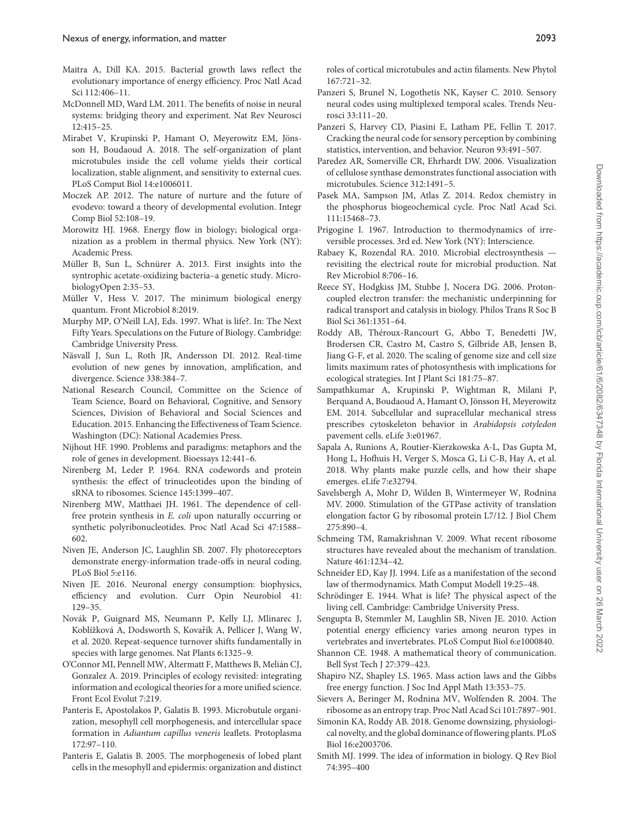- <span id="page-11-12"></span>Maitra A, Dill KA. 2015. Bacterial growth laws reflect the evolutionary importance of energy efficiency. Proc Natl Acad Sci 112:406–11.
- <span id="page-11-9"></span>McDonnell MD, Ward LM. 2011. The benefits of noise in neural systems: bridging theory and experiment. Nat Rev Neurosci 12:415–25.
- <span id="page-11-27"></span>Mirabet V, Krupinski P, Hamant O, Meyerowitz EM, Jönsson H, Boudaoud A. 2018. The self-organization of plant microtubules inside the cell volume yields their cortical localization, stable alignment, and sensitivity to external cues. PLoS Comput Biol 14:e1006011.
- <span id="page-11-22"></span>Moczek AP. 2012. The nature of nurture and the future of evodevo: toward a theory of developmental evolution. Integr Comp Biol 52:108–19.
- <span id="page-11-6"></span>Morowitz HJ. 1968. Energy flow in biology; biological organization as a problem in thermal physics. New York (NY): Academic Press.
- <span id="page-11-20"></span>Müller B, Sun L, Schnürer A. 2013. First insights into the syntrophic acetate-oxidizing bacteria–a genetic study. MicrobiologyOpen 2:35–53.
- <span id="page-11-18"></span>Müller V, Hess V. 2017. The minimum biological energy quantum. Front Microbiol 8:2019.
- <span id="page-11-2"></span>Murphy MP, O'Neill LAJ, Eds. 1997. What is life?. In: The Next Fifty Years. Speculations on the Future of Biology. Cambridge: Cambridge University Press.
- <span id="page-11-8"></span>Näsvall J, Sun L, Roth JR, Andersson DI. 2012. Real-time evolution of new genes by innovation, amplification, and divergence. Science 338:384–7.
- <span id="page-11-38"></span>National Research Council, Committee on the Science of Team Science, Board on Behavioral, Cognitive, and Sensory Sciences, Division of Behavioral and Social Sciences and Education. 2015. Enhancing the Effectiveness of Team Science. Washington (DC): National Academies Press.
- <span id="page-11-21"></span>Nijhout HF. 1990. Problems and paradigms: metaphors and the role of genes in development. Bioessays 12:441–6.
- <span id="page-11-14"></span>Nirenberg M, Leder P. 1964. RNA codewords and protein synthesis: the effect of trinucleotides upon the binding of sRNA to ribosomes. Science 145:1399–407.
- <span id="page-11-13"></span>Nirenberg MW, Matthaei JH. 1961. The dependence of cellfree protein synthesis in *E. coli* upon naturally occurring or synthetic polyribonucleotides. Proc Natl Acad Sci 47:1588– 602.
- <span id="page-11-32"></span>Niven JE, Anderson JC, Laughlin SB. 2007. Fly photoreceptors demonstrate energy-information trade-offs in neural coding. PLoS Biol 5:e116.
- <span id="page-11-34"></span>Niven JE. 2016. Neuronal energy consumption: biophysics, efficiency and evolution. Curr Opin Neurobiol 41: 129–35.
- <span id="page-11-30"></span>Novák P, Guignard MS, Neumann P, Kelly LJ, Mlinarec J, Koblížková A, Dodsworth S, Kovařík A, Pellicer J, Wang W, et al. 2020. Repeat-sequence turnover shifts fundamentally in species with large genomes. Nat Plants 6:1325–9.
- <span id="page-11-4"></span>O'Connor MI, Pennell MW, Altermatt F, Matthews B, Melián CJ, Gonzalez A. 2019. Principles of ecology revisited: integrating information and ecological theories for a more unified science. Front Ecol Evolut 7:219.
- <span id="page-11-23"></span>Panteris E, Apostolakos P, Galatis B. 1993. Microbutule organization, mesophyll cell morphogenesis, and intercellular space formation in *Adiantum capillus veneris* leaflets. Protoplasma 172:97–110.
- <span id="page-11-24"></span>Panteris E, Galatis B. 2005. The morphogenesis of lobed plant cells in the mesophyll and epidermis: organization and distinct

roles of cortical microtubules and actin filaments. New Phytol 167:721–32.

- <span id="page-11-35"></span>Panzeri S, Brunel N, Logothetis NK, Kayser C. 2010. Sensory neural codes using multiplexed temporal scales. Trends Neurosci 33:111–20.
- <span id="page-11-36"></span>Panzeri S, Harvey CD, Piasini E, Latham PE, Fellin T. 2017. Cracking the neural code for sensory perception by combining statistics, intervention, and behavior. Neuron 93:491–507.
- <span id="page-11-25"></span>Paredez AR, Somerville CR, Ehrhardt DW. 2006. Visualization of cellulose synthase demonstrates functional association with microtubules. Science 312:1491–5.
- <span id="page-11-37"></span>Pasek MA, Sampson JM, Atlas Z. 2014. Redox chemistry in the phosphorus biogeochemical cycle. Proc Natl Acad Sci. 111:15468–73.
- <span id="page-11-1"></span>Prigogine I. 1967. Introduction to thermodynamics of irreversible processes. 3rd ed. New York (NY): Interscience.
- <span id="page-11-19"></span>Rabaey K, Rozendal RA. 2010. Microbial electrosynthesis revisiting the electrical route for microbial production. Nat Rev Microbiol 8:706–16.
- <span id="page-11-7"></span>Reece SY, Hodgkiss JM, Stubbe J, Nocera DG. 2006. Protoncoupled electron transfer: the mechanistic underpinning for radical transport and catalysis in biology. Philos Trans R Soc B Biol Sci 361:1351–64.
- <span id="page-11-29"></span>Roddy AB, Théroux-Rancourt G, Abbo T, Benedetti JW, Brodersen CR, Castro M, Castro S, Gilbride AB, Jensen B, Jiang G-F, et al. 2020. The scaling of genome size and cell size limits maximum rates of photosynthesis with implications for ecological strategies. Int J Plant Sci 181:75–87.
- <span id="page-11-26"></span>Sampathkumar A, Krupinski P, Wightman R, Milani P, Berquand A, Boudaoud A, Hamant O, Jönsson H, Meyerowitz EM. 2014. Subcellular and supracellular mechanical stress prescribes cytoskeleton behavior in *Arabidopsis cotyledon* pavement cells. eLife 3:e01967.
- <span id="page-11-28"></span>Sapala A, Runions A, Routier-Kierzkowska A-L, Das Gupta M, Hong L, Hofhuis H, Verger S, Mosca G, Li C-B, Hay A, et al. 2018. Why plants make puzzle cells, and how their shape emerges. eLife 7:e32794.
- <span id="page-11-16"></span>Savelsbergh A, Mohr D, Wilden B, Wintermeyer W, Rodnina MV. 2000. Stimulation of the GTPase activity of translation elongation factor G by ribosomal protein L7/12. J Biol Chem 275:890–4.
- <span id="page-11-11"></span>Schmeing TM, Ramakrishnan V. 2009. What recent ribosome structures have revealed about the mechanism of translation. Nature 461:1234–42.
- <span id="page-11-10"></span>Schneider ED, Kay JJ. 1994. Life as a manifestation of the second law of thermodynamics. Math Comput Modell 19:25–48.
- <span id="page-11-0"></span>Schrödinger E. 1944. What is life? The physical aspect of the living cell. Cambridge: Cambridge University Press.
- <span id="page-11-33"></span>Sengupta B, Stemmler M, Laughlin SB, Niven JE. 2010. Action potential energy efficiency varies among neuron types in vertebrates and invertebrates. PLoS Comput Biol 6:e1000840.
- <span id="page-11-5"></span>Shannon CE. 1948. A mathematical theory of communication. Bell Syst Tech J 27:379–423.
- <span id="page-11-17"></span>Shapiro NZ, Shapley LS. 1965. Mass action laws and the Gibbs free energy function. J Soc Ind Appl Math 13:353–75.
- <span id="page-11-15"></span>Sievers A, Beringer M, Rodnina MV, Wolfenden R. 2004. The ribosome as an entropy trap. Proc Natl Acad Sci 101:7897–901.
- <span id="page-11-31"></span>Simonin KA, Roddy AB. 2018. Genome downsizing, physiological novelty, and the global dominance of flowering plants. PLoS Biol 16:e2003706.
- <span id="page-11-3"></span>Smith MJ. 1999. The idea of information in biology. Q Rev Biol 74:395–400